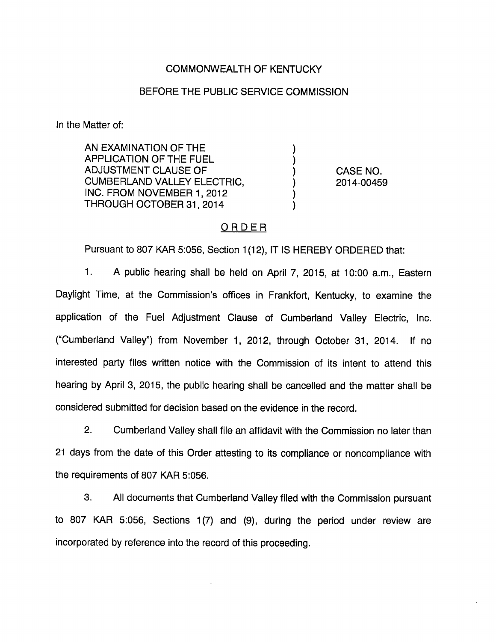## COMMONWEALTH OF KENTUCKY

### BEFORE THE PUBLIC SERVICE COMMISSION

In the Matter of:

AN EXAMINATION OF THE APPLICATION OF THE FUEL ADJUSTMENT CLAUSE OF CUMBERLAND VALLEY ELECTRIC, INC. FROM NOVEMBER 1, 2012 THROUGH OCTOBER 31, 2014

CASE NO. 2014-00459

## ORDER

Pursuant to 807 KAR 5:056, Section 1(12), IT IS HEREBY ORDERED that:

1. A public hearing shall be held on April 7, 2015, at 10:00 a.m.. Eastern Daylight Time, at the Commission's offices in Frankfort, Kentucky, to examine the application of the Fuel Adjustment Clause of Cumberland Valley Electric, Inc. ("Cumberland Valley") from November 1, 2012, through October 31, 2014. If no interested party files written notice with the Commission of its intent to attend this hearing by April 3, 2015, the public hearing shall be cancelled and the matter shall be considered submitted for decision based on the evidence in the record.

2. Cumberland Valley shall file an affidavit with the Commission no later than 21 days from the date of this Order attesting to its compliance or noncompliance with the requirements of 807 KAR 5:056.

3. All documents that Cumberland Valley filed with the Commission pursuant to 807 KAR 5:056, Sections 1(7) and (9), during the period under review are incorporated by reference into the record of this proceeding.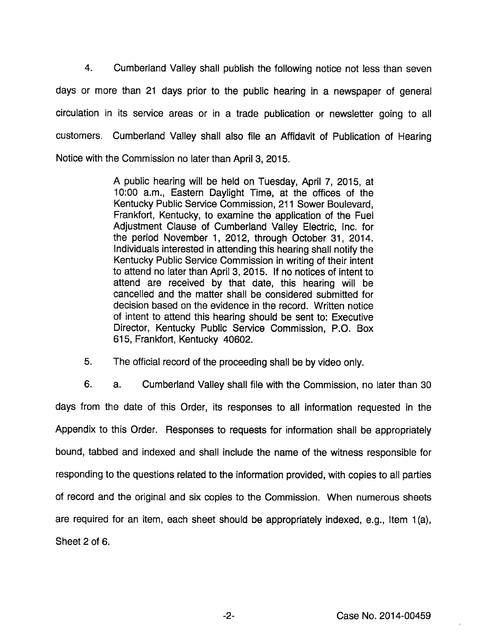4. Cumberland Valley shall publish the following notice not less than seven days or more than 21 days prior to the public hearing in a newspaper of general circulation in its service areas or in a trade publication or newsletter going to all customers. Cumberland Valley shall also file an Affidavit of Publication of Hearing Notice with the Commission no later than April 3, 2015.

> A public hearing will be held on Tuesday, April 7, 2015, at 10:00 a.m.. Eastern Daylight Time, at the offices of the Kentucky Public Service Commission, 211 Sower Boulevard, Frankfort, Kentucky, to examine the application of the Fuel Adjustment Clause of Cumberland Valley Electric, Inc. for the period November 1, 2012, through October 31, 2014. Individuals interested in attending this hearing shall notify the Kentucky Public Service Commission in writing of their intent to attend no later than April 3, 2015. If no notices of intent to attend are received by that date, this hearing will be cancelled and the matter shall be considered submitted for decision based on the evidence in the record. Written notice of intent to attend this hearing should be sent to: Executive Director, Kentucky Public Service Commission, P.O. Box 615, Frankfort, Kentucky 40602.

5. The official record of the proceeding shall be by video only.

6. a. Cumberland Valley shall file with the Commission, no later than 30 days from the date of this Order, its responses to all information requested in the Appendix to this Order. Responses to requests for information shall be appropriately bound, tabbed and indexed and shall include the name of the witness responsible for responding to the questions related to the information provided, with copies to all parties of record and the original and six copies to the Commission. When numerous sheets are required for an item, each sheet should be appropriately indexed, e.g.. Item 1(a), Sheet 2 of 6.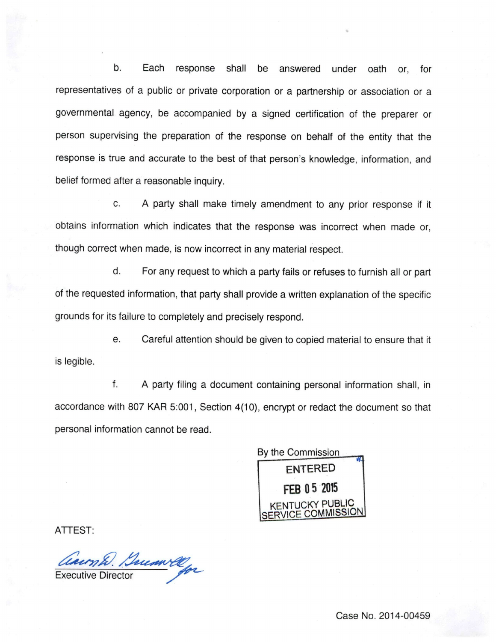b. Each response shall be answered under oath or, for representatives of a public or private corporation or a partnership or association or a governmental agency, be accompanied by a signed certification of the preparer or person supervising the preparation of the response on behalf of the entity that the response is true and accurate to the best of that person's knowledge, information, and belief formed after a reasonable inquiry.

c. A party shall make timely amendment to any prior response if it obtains information which indicates that the response was incorrect when made or, though correct when made, is now incorrect in any material respect.

d. For any request to which a party fails or refuses to furnish all or part of the requested information, that party shall provide a written explanation of the specific grounds for its failure to completely and precisely respond.

e. Careful attention should be given to copied material to ensure that it is legible.

f. A party filing a document containing personal information shall, in accordance with 807 KAR 5:001, Section 4(10), encrypt or redact the document so that personal information cannot be read.

By the Commission entered FEB 05 2015 NTUCKY PUBLIC SERVICE COMMISSION

ATTEST:

Caumh. Duconvelop

Case No. 2014-00459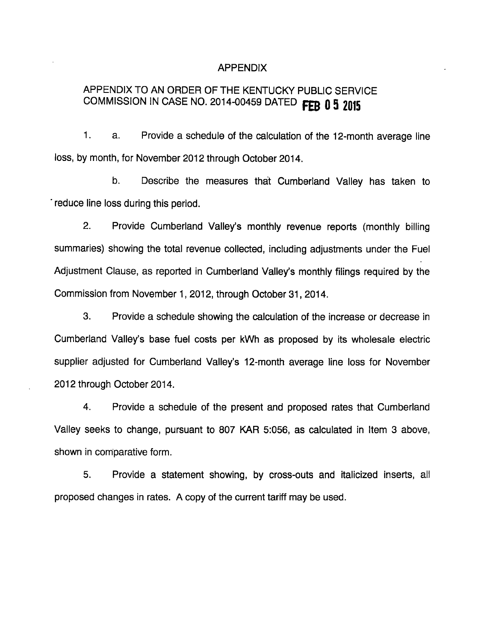#### APPENDIX

# APPENDIX TO AN ORDER OF THE KENTUCKY PUBLIC SERVICE COMMISSION IN CASE NO. 2014-00459 DATED FEB 0 5 2015

1. a. Provide a schedule of the calculation of the 12-month average line loss, by month, for November 2012 through October 2014.

b. Describe the measures that Cumberland Valley has taken to ' reduce line loss during this period.

2. Provide Cumberland Valley's monthly revenue reports (monthly billing summaries) showing the total revenue collected, including adjustments under the Fuel Adjustment Clause, as reported in Cumberland Valley's monthly filings required by the Commission from November 1, 2012, through October 31, 2014.

3. Provide a schedule showing the calculation of the increase or decrease in Cumberland Valley's base fuel costs per kWh as proposed by its wholesale electric supplier adjusted for Cumberland Valley's 12-month average line loss for November 2012 through October 2014.

4. Provide a schedule of the present and proposed rates that Cumberland Valley seeks to change, pursuant to 807 KAR 5:056, as calculated in Item 3 above, shown in comparative form.

5. Provide a statement showing, by cross-outs and italicized inserts, all proposed changes in rates. A copy of the current tariff may be used.